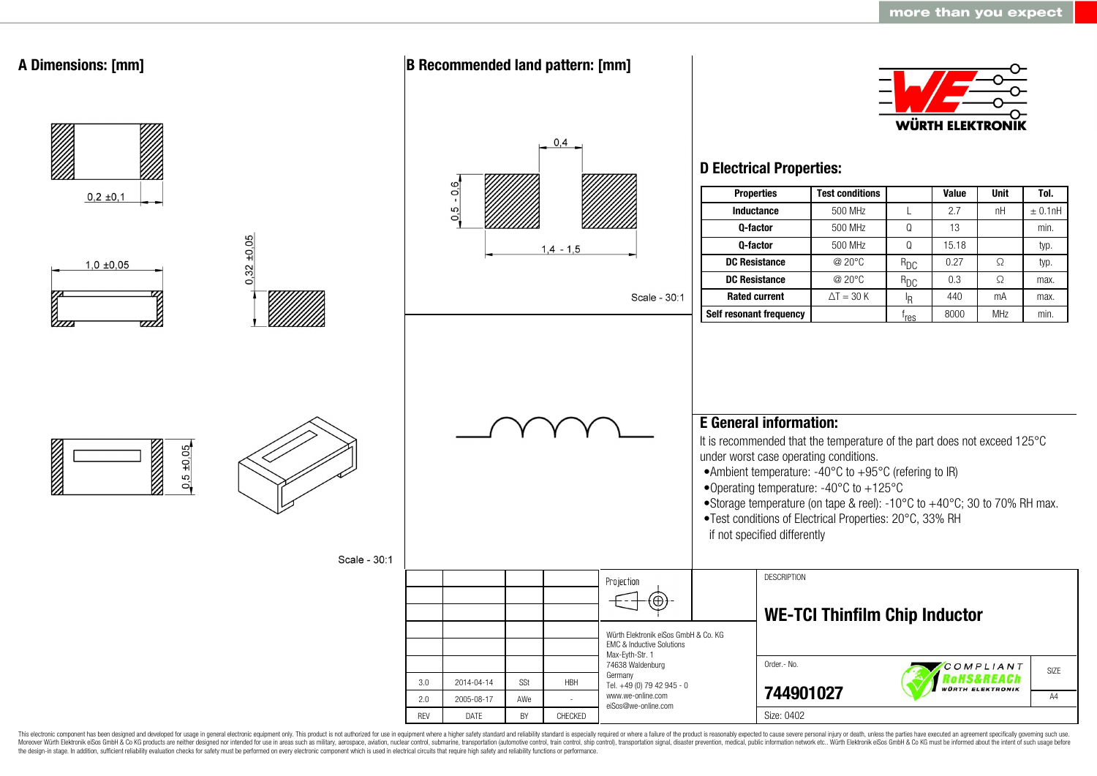

This electronic component has been designed and developed for usage in general electronic equipment only. This product is not authorized for use in equipment where a higher safety standard and reliability standard is espec Moreover Würth Elektronik eiSos GmbH & Co KG products are neither designed nor intended for use in areas such as military, aerospace, aviation, nuclear control, submarine, transportation (automotive control, ship control), the design-in stage. In addition, sufficient reliability evaluation checks for safety must be performed on every electronic component which is used in electrical circuits that require high safety and reliability functions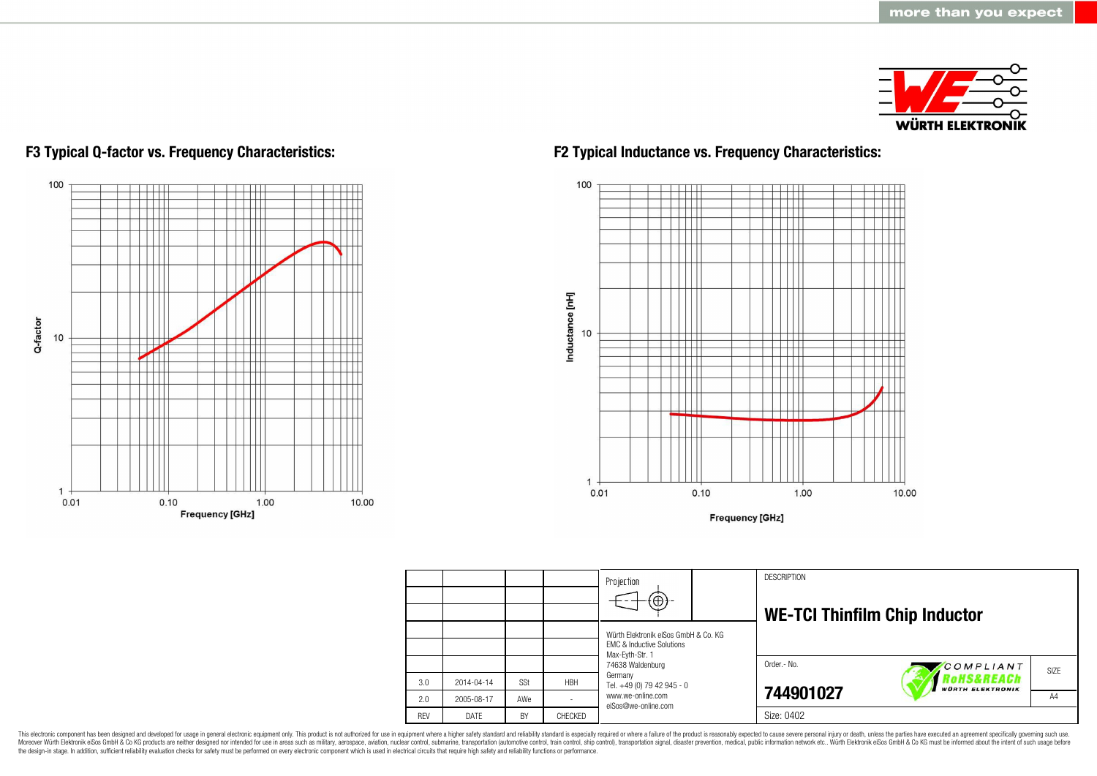



## **F3 Typical Q-factor vs. Frequency Characteristics: F2 Typical Inductance vs. Frequency Characteristics:**



**Frequency [GHz]** 

|            |            |           |            | Projection<br>$\textcircled{\scriptsize{+}}$                                 | <b>DESCRIPTION</b>                   |                                       |                |  |
|------------|------------|-----------|------------|------------------------------------------------------------------------------|--------------------------------------|---------------------------------------|----------------|--|
|            |            |           |            | Würth Elektronik eiSos GmbH & Co. KG<br><b>EMC &amp; Inductive Solutions</b> | <b>WE-TCI Thinfilm Chip Inductor</b> |                                       |                |  |
|            |            |           |            | Max-Eyth-Str. 1<br>74638 Waldenburg                                          | Order.- No.                          | COMPLIANT                             | SIZE           |  |
| 3.0        | 2014-04-14 | SSt       | <b>HBH</b> | Germany<br>Tel. +49 (0) 79 42 945 - 0                                        |                                      | Rohs&REACh<br><b>WÜRTH ELEKTRONIK</b> |                |  |
| 2.0        | 2005-08-17 | AWe       |            | www.we-online.com<br>eiSos@we-online.com                                     | 744901027                            |                                       | A <sub>4</sub> |  |
| <b>RFV</b> | DATF       | <b>BY</b> | CHECKED    |                                                                              | Size: 0402                           |                                       |                |  |

This electronic component has been designed and developed for usage in general electronic equipment only. This product is not authorized for use in equipment where a higher safety standard and reliability standard is espec Moreover Würth Elektronik eiSos GmbH & Co KG products are neither designed nor intended for use in areas such as military, aerospace, aviation, nuclear control, submarine, transportation (automotive control), stain control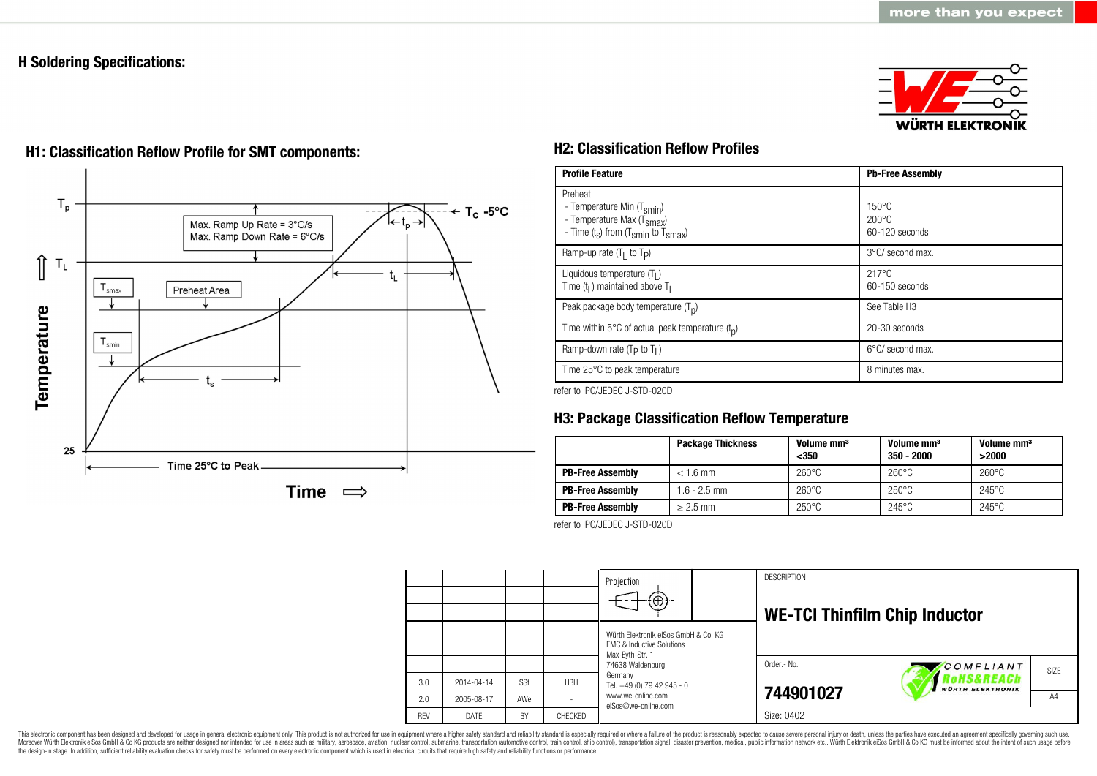## **H Soldering Specifications:**





# **H1: Classification Reflow Profile for SMT components: H2: Classification Reflow Profiles**

| <b>Profile Feature</b>                                                                                                                        | <b>Pb-Free Assembly</b>                             |  |  |
|-----------------------------------------------------------------------------------------------------------------------------------------------|-----------------------------------------------------|--|--|
| Preheat<br>- Temperature Min (T <sub>smin</sub> )<br>- Temperature Max (T <sub>Smax</sub> )<br>- Time $(t_s)$ from $(T_{smin}$ to $T_{smax})$ | $150^{\circ}$ C<br>$200\degree C$<br>60-120 seconds |  |  |
| Ramp-up rate $(T_1$ to $T_p$ )                                                                                                                | 3°C/ second max.                                    |  |  |
| Liquidous temperature $(T1)$<br>Time $(tl)$ maintained above T <sub>1</sub>                                                                   | $217^{\circ}$ C<br>$60-150$ seconds                 |  |  |
| Peak package body temperature $(T_n)$                                                                                                         | See Table H <sub>3</sub>                            |  |  |
| Time within 5°C of actual peak temperature $(t_n)$                                                                                            | 20-30 seconds                                       |  |  |
| Ramp-down rate ( $T_P$ to $T_I$ )                                                                                                             | 6°C/ second max.                                    |  |  |
| Time 25°C to peak temperature                                                                                                                 | 8 minutes max.                                      |  |  |

refer to IPC/JEDEC J-STD-020D

## **H3: Package Classification Reflow Temperature**

|                         | <b>Package Thickness</b> | Volume mm <sup>3</sup><br>$350$ | Volume mm <sup>3</sup><br>$350 - 2000$ | Volume mm <sup>3</sup><br>>2000 |
|-------------------------|--------------------------|---------------------------------|----------------------------------------|---------------------------------|
| <b>PB-Free Assembly</b> | $< 1.6$ mm               | $260^{\circ}$ C                 | $260^{\circ}$ C                        | $260^{\circ}$ C                 |
| <b>PB-Free Assembly</b> | $1.6 - 2.5$ mm           | $260^{\circ}$ C                 | $250^{\circ}$ C                        | $245^{\circ}$ C                 |
| <b>PB-Free Assembly</b> | $> 2.5$ mm               | $250^{\circ}$ C                 | $245^{\circ}$ C                        | $245^{\circ}$ C                 |

refer to IPC/JEDEC J-STD-020D



This electronic component has been designed and developed for usage in general electronic equipment only. This product is not authorized for use in equipment where a higher safety standard and reliability standard is espec Moreover Würth Elektronik eiSos GmbH & Co KG products are neither designed nor intended for use in areas such as military, aerospace, aviation, nuclear control, submarine, transportation (automotive control, ship control), the design-in stage. In addition, sufficient reliability evaluation checks for safety must be performed on every electronic component which is used in electrical circuits that require high safety and reliability functions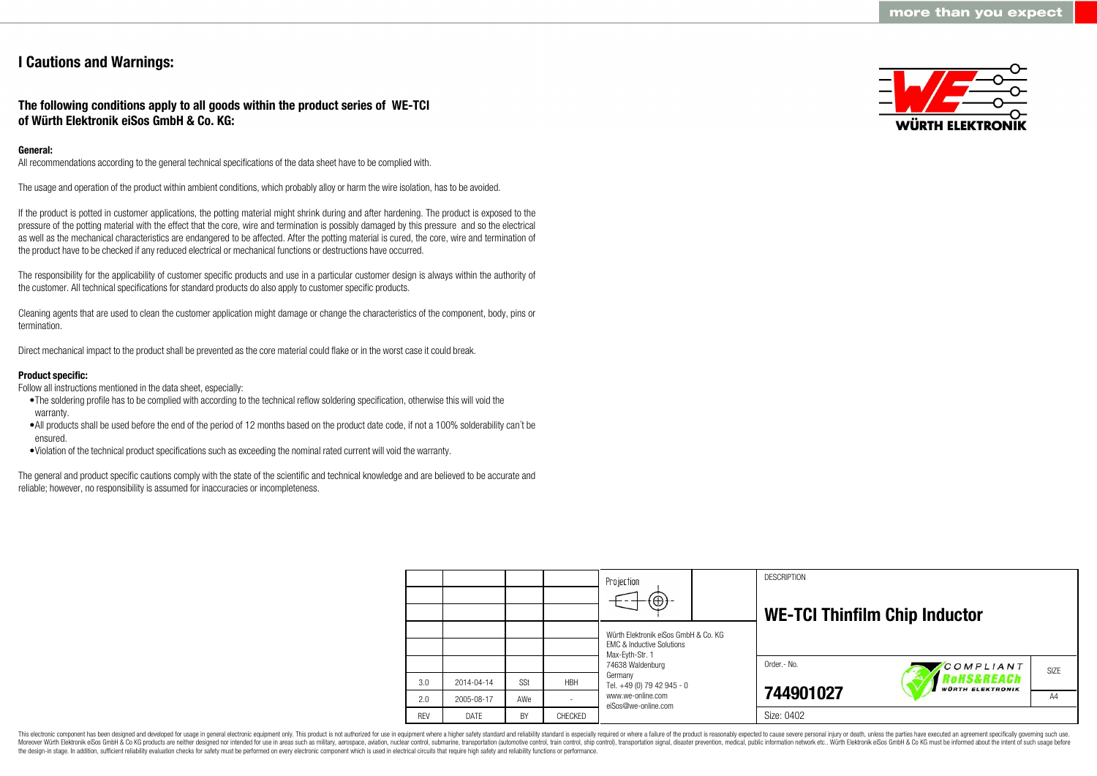## **I Cautions and Warnings:**

## **The following conditions apply to all goods within the product series of WE-TCI of Würth Elektronik eiSos GmbH & Co. KG:**

## **General:**

All recommendations according to the general technical specifications of the data sheet have to be complied with.

The usage and operation of the product within ambient conditions, which probably alloy or harm the wire isolation, has to be avoided.

If the product is potted in customer applications, the potting material might shrink during and after hardening. The product is exposed to the pressure of the potting material with the effect that the core, wire and termination is possibly damaged by this pressure and so the electrical as well as the mechanical characteristics are endangered to be affected. After the potting material is cured, the core, wire and termination of the product have to be checked if any reduced electrical or mechanical functions or destructions have occurred.

The responsibility for the applicability of customer specific products and use in a particular customer design is always within the authority of the customer. All technical specifications for standard products do also apply to customer specific products.

Cleaning agents that are used to clean the customer application might damage or change the characteristics of the component, body, pins or termination.

Direct mechanical impact to the product shall be prevented as the core material could flake or in the worst case it could break.

## **Product specific:**

Follow all instructions mentioned in the data sheet, especially:

- •The soldering profile has to be complied with according to the technical reflow soldering specification, otherwise this will void the warranty.
- •All products shall be used before the end of the period of 12 months based on the product date code, if not a 100% solderability can´t be ensured.
- •Violation of the technical product specifications such as exceeding the nominal rated current will void the warranty.

The general and product specific cautions comply with the state of the scientific and technical knowledge and are believed to be accurate and reliable; however, no responsibility is assumed for inaccuracies or incompleteness.



|            |            |            |            | Projection<br>$\Theta$                                                                          |  | <b>DESCRIPTION</b><br><b>WE-TCI Thinfilm Chip Inductor</b> |                                       |      |
|------------|------------|------------|------------|-------------------------------------------------------------------------------------------------|--|------------------------------------------------------------|---------------------------------------|------|
|            |            |            |            | Würth Elektronik eiSos GmbH & Co. KG<br><b>FMC &amp; Inductive Solutions</b><br>Max-Eyth-Str. 1 |  |                                                            |                                       |      |
|            |            |            |            | 74638 Waldenburg<br>Germany                                                                     |  | Order.- No.                                                | COMPLIANT                             | SIZE |
| 3.0        | 2014-04-14 | <b>SSt</b> | <b>HBH</b> | Tel. +49 (0) 79 42 945 - 0                                                                      |  |                                                            | RoHS&REACh<br><b>WÜRTH ELEKTRONIK</b> |      |
| 2.0        | 2005-08-17 | AWe        |            | www.we-online.com<br>eiSos@we-online.com                                                        |  | 744901027                                                  |                                       | A4   |
| <b>REV</b> | DATE       | BY         | CHECKED    |                                                                                                 |  | Size: 0402                                                 |                                       |      |

This electronic component has been designed and developed for usage in general electronic equipment only. This product is not authorized for use in equipment where a higher safety standard and reliability standard is espec Moreover Würth Elektronik eiSos GmbH & Co KG products are neither designed nor intended for use in areas such as military, aerospace, aviation, nuclear control, submarine, transportation (automotive control), tain control) the design-in stage. In addition, sufficient reliability evaluation checks for safety must be performed on every electronic component which is used in electrical circuits that require high safety and reliability functions